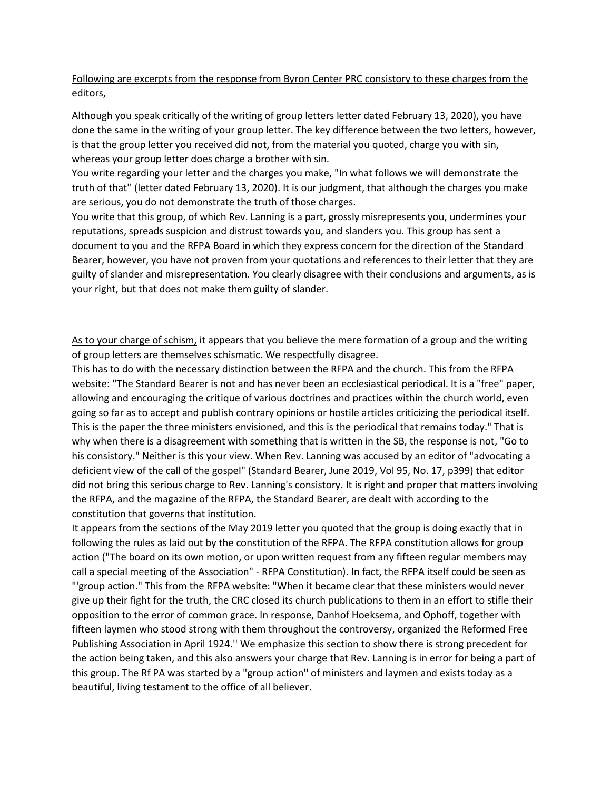## Following are excerpts from the response from Byron Center PRC consistory to these charges from the editors,

Although you speak critically of the writing of group letters letter dated February 13, 2020), you have done the same in the writing of your group letter. The key difference between the two letters, however, is that the group letter you received did not, from the material you quoted, charge you with sin, whereas your group letter does charge a brother with sin.

You write regarding your letter and the charges you make, "In what follows we will demonstrate the truth of that'' (letter dated February 13, 2020). It is our judgment, that although the charges you make are serious, you do not demonstrate the truth of those charges.

You write that this group, of which Rev. Lanning is a part, grossly misrepresents you, undermines your reputations, spreads suspicion and distrust towards you, and slanders you. This group has sent a document to you and the RFPA Board in which they express concern for the direction of the Standard Bearer, however, you have not proven from your quotations and references to their letter that they are guilty of slander and misrepresentation. You clearly disagree with their conclusions and arguments, as is your right, but that does not make them guilty of slander.

As to your charge of schism, it appears that you believe the mere formation of a group and the writing of group letters are themselves schismatic. We respectfully disagree.

This has to do with the necessary distinction between the RFPA and the church. This from the RFPA website: "The Standard Bearer is not and has never been an ecclesiastical periodical. It is a "free" paper, allowing and encouraging the critique of various doctrines and practices within the church world, even going so far as to accept and publish contrary opinions or hostile articles criticizing the periodical itself. This is the paper the three ministers envisioned, and this is the periodical that remains today." That is why when there is a disagreement with something that is written in the SB, the response is not, "Go to his consistory." Neither is this your view. When Rev. Lanning was accused by an editor of "advocating a deficient view of the call of the gospel" (Standard Bearer, June 2019, Vol 95, No. 17, p399) that editor did not bring this serious charge to Rev. Lanning's consistory. It is right and proper that matters involving the RFPA, and the magazine of the RFPA, the Standard Bearer, are dealt with according to the constitution that governs that institution.

It appears from the sections of the May 2019 letter you quoted that the group is doing exactly that in following the rules as laid out by the constitution of the RFPA. The RFPA constitution allows for group action ("The board on its own motion, or upon written request from any fifteen regular members may call a special meeting of the Association" - RFPA Constitution). In fact, the RFPA itself could be seen as "'group action." This from the RFPA website: "When it became clear that these ministers would never give up their fight for the truth, the CRC closed its church publications to them in an effort to stifle their opposition to the error of common grace. In response, Danhof Hoeksema, and Ophoff, together with fifteen laymen who stood strong with them throughout the controversy, organized the Reformed Free Publishing Association in April 1924.'' We emphasize this section to show there is strong precedent for the action being taken, and this also answers your charge that Rev. Lanning is in error for being a part of this group. The Rf PA was started by a "group action'' of ministers and laymen and exists today as a beautiful, living testament to the office of all believer.